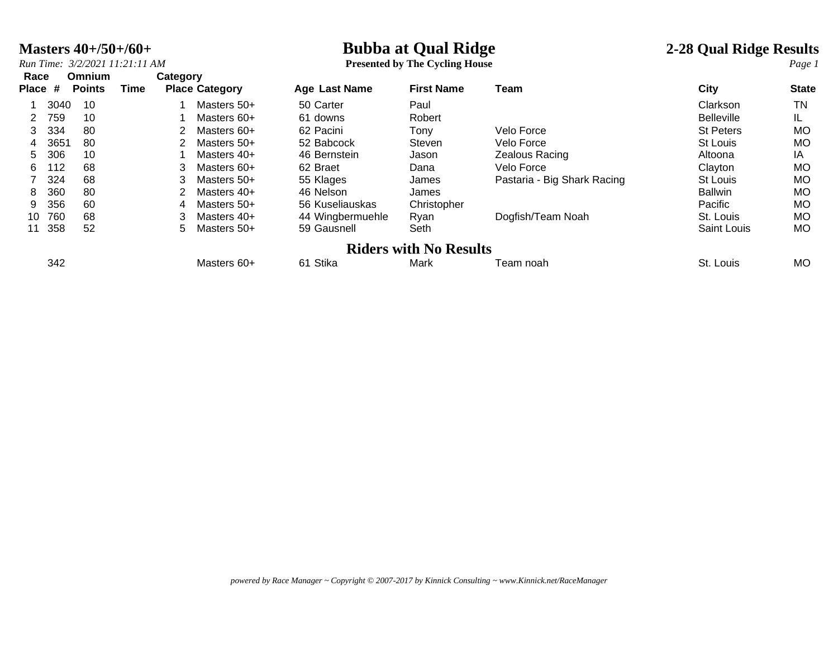### **Masters 40+/50+/60+**<br> *Run Time:* 3/2/2021 11:21:11 AM **Presented by The Cycling House 2-28 Qual Ridge Results**

*Run Time: 3/2/2021 11:21:11 AM* **Presented by The Cycling House** *Page 1*

| Race<br>Place   | #    | Omnium<br><b>Points</b> | Time | Category | <b>Place Category</b> | Age Last Name    | <b>First Name</b>             | Team                        | City              | <b>State</b> |
|-----------------|------|-------------------------|------|----------|-----------------------|------------------|-------------------------------|-----------------------------|-------------------|--------------|
|                 | 3040 | 10                      |      |          | Masters 50+           | 50 Carter        | Paul                          |                             | Clarkson          | TN           |
| 2               | 759  | 10                      |      |          | Masters 60+           | 61 downs         | Robert                        |                             | <b>Belleville</b> | IL           |
| 3               | 334  | 80                      |      |          | Masters 60+           | 62 Pacini        | Tonv                          | Velo Force                  | <b>St Peters</b>  | <b>MO</b>    |
| 4               | 3651 | 80                      |      |          | Masters 50+           | 52 Babcock       | Steven                        | Velo Force                  | St Louis          | <b>MO</b>    |
| 5.              | 306  | 10                      |      |          | Masters 40+           | 46 Bernstein     | Jason                         | Zealous Racing              | Altoona           | IA           |
| 6.              | 112  | 68                      |      |          | Masters 60+           | 62 Braet         | Dana                          | Velo Force                  | Clayton           | <b>MO</b>    |
|                 | 324  | 68                      |      | 3.       | Masters 50+           | 55 Klages        | James                         | Pastaria - Big Shark Racing | St Louis          | <b>MO</b>    |
| 8               | 360  | 80                      |      |          | Masters 40+           | 46 Nelson        | James                         |                             | <b>Ballwin</b>    | <b>MO</b>    |
| 9.              | 356  | 60                      |      | 4        | Masters 50+           | 56 Kuseliauskas  | Christopher                   |                             | Pacific           | <b>MO</b>    |
| 10 <sup>1</sup> | 760  | 68                      |      | 3        | Masters 40+           | 44 Wingbermuehle | Ryan                          | Dogfish/Team Noah           | St. Louis         | <b>MO</b>    |
| 11              | 358  | 52                      |      | 5.       | Masters 50+           | 59 Gausnell      | Seth                          |                             | Saint Louis       | <b>MO</b>    |
|                 |      |                         |      |          |                       |                  | <b>Riders with No Results</b> |                             |                   |              |
|                 | 342  |                         |      |          | Masters 60+           | 61 Stika         | Mark                          | Team noah                   | St. Louis         | МO           |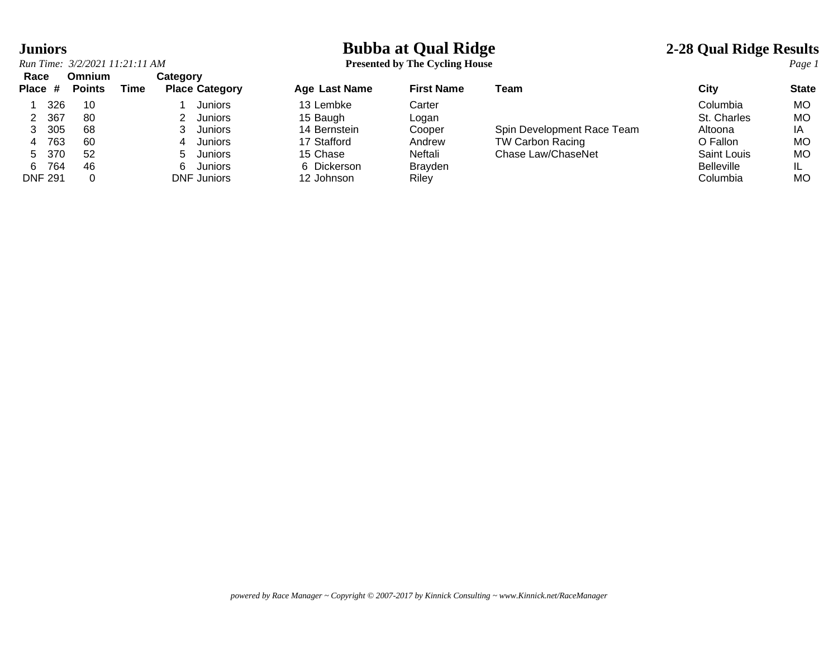| <b>Juniors</b><br>Run Time: 3/2/2021 11:21:11 AM |                                |      |                                   |                    | <b>Bubba at Qual Ridge</b><br><b>Presented by The Cycling House</b> |                            |                   |              |
|--------------------------------------------------|--------------------------------|------|-----------------------------------|--------------------|---------------------------------------------------------------------|----------------------------|-------------------|--------------|
| Race<br>Place #                                  | <b>Omnium</b><br><b>Points</b> | Time | Category<br><b>Place Category</b> | Age Last Name      | <b>First Name</b>                                                   | Team                       | City              | <b>State</b> |
|                                                  |                                |      |                                   |                    |                                                                     |                            |                   |              |
| 326                                              | 10                             |      | Juniors                           | 13 Lembke          | Carter                                                              |                            | Columbia          | MO           |
| 367                                              | 80                             |      | Juniors                           | 15 Baugh           | Logan                                                               |                            | St. Charles       | MO           |
| 305                                              | 68                             |      | Juniors                           | 14 Bernstein       | Cooper                                                              | Spin Development Race Team | Altoona           | ΙA           |
| 763<br>4                                         | 60                             |      | Juniors<br>4                      | 17 Stafford        | Andrew                                                              | <b>TW Carbon Racing</b>    | O Fallon          | MO           |
| -370<br>5.                                       | 52                             |      | Juniors<br>5.                     | 15 Chase           | Neftali                                                             | Chase Law/ChaseNet         | Saint Louis       | MO           |
| 764<br>6.                                        | 46                             |      | Juniors                           | 6 Dickerson        | <b>Brayden</b>                                                      |                            | <b>Belleville</b> | IL           |
| DNIE 004                                         | $\sim$                         |      | $MIP$ $1.442$                     | $10 \text{ lbmax}$ | $D: L \rightarrow L$                                                |                            | $O = 1.$          | $\sim$       |

| Race           | Omnium        |      | Category              |                      |                   |                            |                   |              |
|----------------|---------------|------|-----------------------|----------------------|-------------------|----------------------------|-------------------|--------------|
| Place #        | <b>Points</b> | Time | <b>Place Category</b> | <b>Age Last Name</b> | <b>First Name</b> | Team                       | City              | <b>State</b> |
| 326            | 10            |      | <b>Juniors</b>        | 13 Lembke            | Carter            |                            | Columbia          | <b>MO</b>    |
| 367            | -80           |      | Juniors               | 15 Baugh             | Loqan             |                            | St. Charles       | МO           |
| 305            | 68            |      | Juniors               | 14 Bernstein         | Cooper            | Spin Development Race Team | Altoona           | ΙA           |
| 763            | 60            |      | Juniors<br>4          | 17 Stafford          | Andrew            | <b>TW Carbon Racing</b>    | O Fallon          | МO           |
| 370<br>5       | 52            |      | Juniors<br>5.         | 15 Chase             | Neftali           | Chase Law/ChaseNet         | Saint Louis       | МO           |
| 764<br>6.      | 46            |      | <b>Juniors</b><br>6.  | 6 Dickerson          | <b>Brayden</b>    |                            | <b>Belleville</b> |              |
| <b>DNF 291</b> |               |      | <b>DNF Juniors</b>    | 12 Johnson           | Riley             |                            | Columbia          | МO           |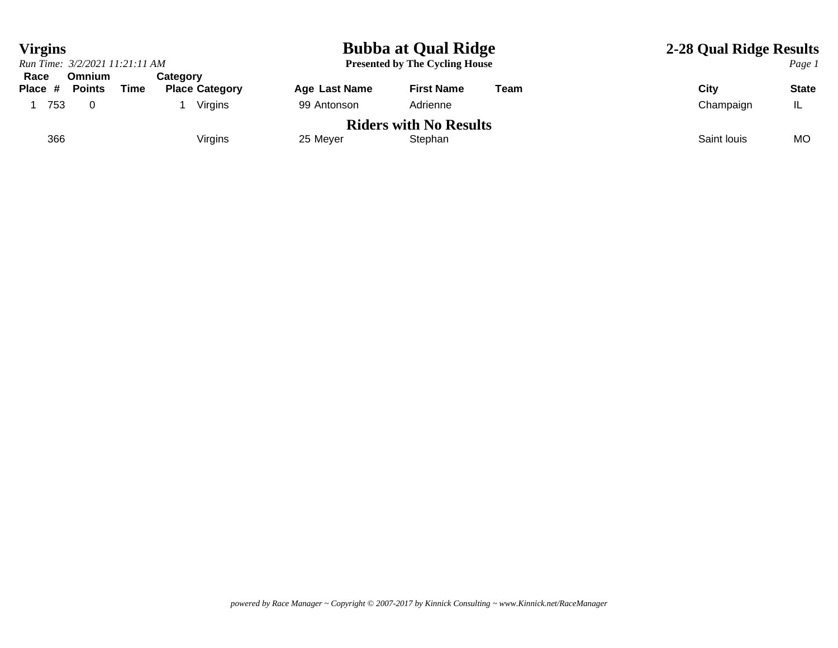| <b>Virgins</b>                 |                                |      |                                   |               | <b>Bubba at Qual Ridge</b>               | 2-28 Qual Ridge Results |             |              |
|--------------------------------|--------------------------------|------|-----------------------------------|---------------|------------------------------------------|-------------------------|-------------|--------------|
| Run Time: 3/2/2021 11:21:11 AM |                                |      |                                   |               | <b>Presented by The Cycling House</b>    |                         |             | Page 1       |
| Race<br>Place #                | <b>Omnium</b><br><b>Points</b> | Time | Category<br><b>Place Category</b> | Age Last Name | <b>First Name</b>                        | Team                    | Citv        | <b>State</b> |
| 753                            |                                |      | Virgins                           | 99 Antonson   | Adrienne                                 |                         | Champaign   | IL           |
| 366                            |                                |      | Virgins                           | 25 Meyer      | <b>Riders with No Results</b><br>Stephan |                         | Saint louis | МC           |
|                                |                                |      |                                   |               |                                          |                         |             |              |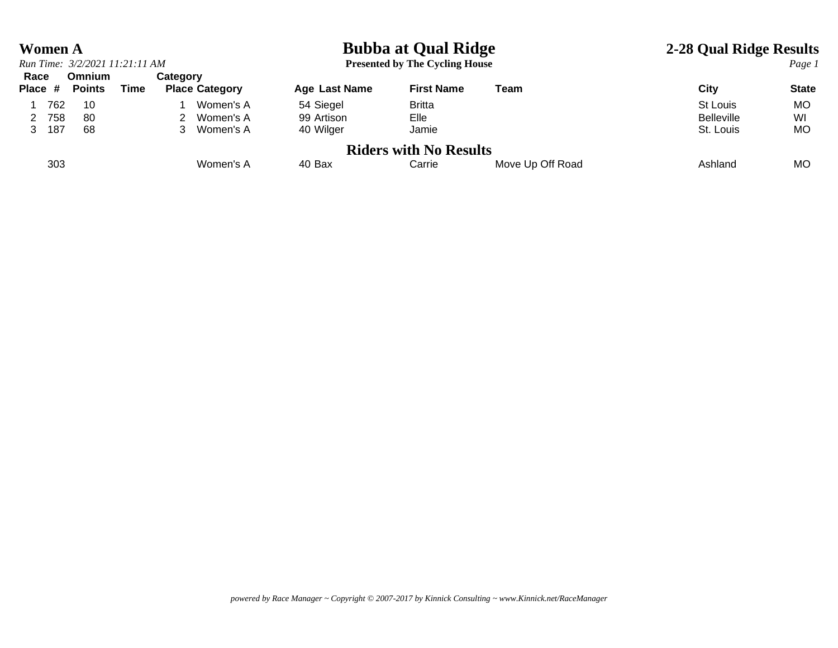### **Women A Bubba at Qual Ridge 2-28 Qual Ridge Results**

|      |         | Run Time: 3/2/2021 11:21:11 AM |      |                 |                       |               | <b>Presented by The Cycling House</b> |                  |                   | Page 1       |
|------|---------|--------------------------------|------|-----------------|-----------------------|---------------|---------------------------------------|------------------|-------------------|--------------|
| Race | Place # | <b>Omnium</b><br>Points        | Time | <b>Category</b> | <b>Place Category</b> | Age Last Name | <b>First Name</b>                     | Team             | City              | <b>State</b> |
|      | 762     | 10                             |      |                 | Women's A             | 54 Siegel     | <b>Britta</b>                         |                  | St Louis          | MO.          |
|      | 758     | 80                             |      |                 | Women's A             | 99 Artison    | Elle                                  |                  | <b>Belleville</b> | WI           |
|      | 187     | 68                             |      |                 | Women's A             | 40 Wilger     | Jamie                                 |                  | St. Louis         | МO           |
|      |         |                                |      |                 |                       |               | <b>Riders with No Results</b>         |                  |                   |              |
|      | 303     |                                |      |                 | Women's A             | 40 Bax        | Carrie                                | Move Up Off Road | Ashland           | MO.          |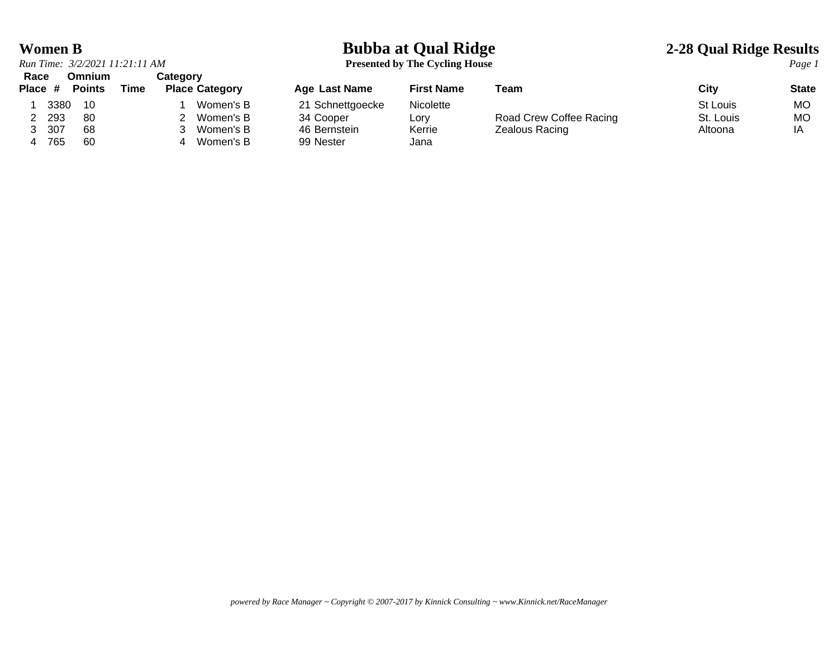# *Run Time: 3/2/2021 11:21:11 AM* **Presented by The Cycling House** *Page 1* **Race Omnium Category**

### **Women B Bubba at Qual Ridge 2-28 Qual Ridge Results**

| navu    |      | <u>viilinuil</u> |      | <b>VALCYOL</b>        |                      |                   |                         |           |              |
|---------|------|------------------|------|-----------------------|----------------------|-------------------|-------------------------|-----------|--------------|
| Place # |      | <b>Points</b>    | Time | <b>Place Category</b> | <b>Age Last Name</b> | <b>First Name</b> | Team                    | City      | <b>State</b> |
|         | 3380 | -10              |      | Women's B             | 21 Schnettgoecke     | <b>Nicolette</b>  |                         | St Louis  | МO           |
|         | 293  | -80              |      | Women's B             | 34 Cooper            | ∟orv              | Road Crew Coffee Racing | St. Louis | МC           |
|         | 307  | 68               |      | Women's B             | 46 Bernstein         | Kerrie            | Zealous Racing          | Altoona   | IA           |
|         | 765  | 60               |      | Women's B             | 99 Nester            | Jana              |                         |           |              |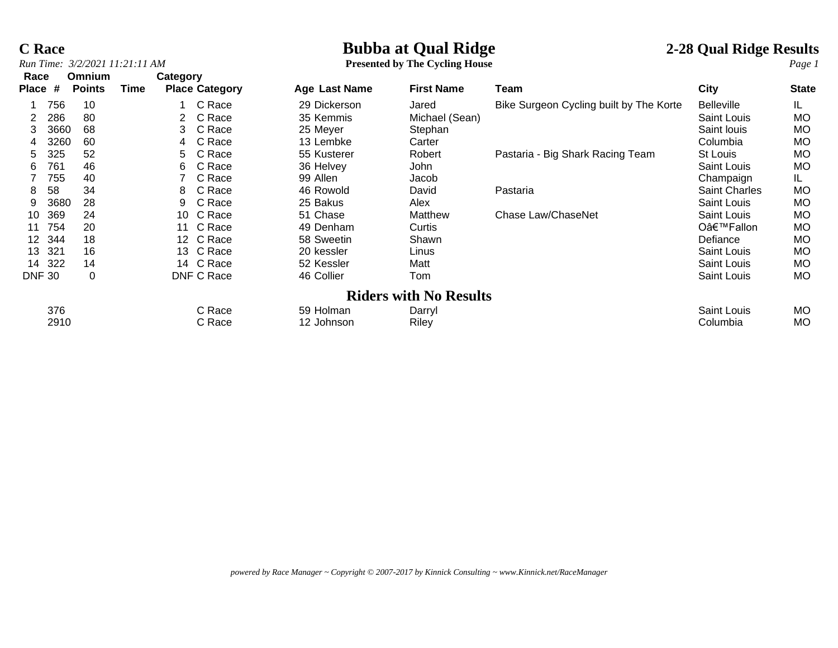## **C Race**<br> **C** Race **2-28 Qual Ridge Results**<br> **Bubba at Qual Ridge 1**<br> **Presented by The Cycling House 2-28 Qual Ridge Results**

**Presented by The Cycling House** 

| Race            |      | <b>Omnium</b> |      | Category |                       |                      |                               |                                         |                      |              |
|-----------------|------|---------------|------|----------|-----------------------|----------------------|-------------------------------|-----------------------------------------|----------------------|--------------|
| <b>Place</b>    | #    | <b>Points</b> | Time |          | <b>Place Category</b> | <b>Age Last Name</b> | <b>First Name</b>             | Team                                    | <b>City</b>          | <b>State</b> |
|                 | 756  | 10            |      |          | C Race                | 29 Dickerson         | Jared                         | Bike Surgeon Cycling built by The Korte | <b>Belleville</b>    | IL.          |
| 2               | 286  | 80            |      |          | C Race                | 35 Kemmis            | Michael (Sean)                |                                         | Saint Louis          | <b>MO</b>    |
| 3               | 3660 | 68            |      | 3.       | C Race                | 25 Meyer             | Stephan                       |                                         | Saint louis          | MO           |
| 4               | 3260 | 60            |      | 4        | C Race                | 13 Lembke            | Carter                        |                                         | Columbia             | <b>MO</b>    |
| 5.              | 325  | 52            |      | 5.       | C Race                | 55 Kusterer          | Robert                        | Pastaria - Big Shark Racing Team        | St Louis             | МO           |
| 6               | 761  | 46            |      | 6        | C Race                | 36 Helvey            | John                          |                                         | Saint Louis          | <b>MO</b>    |
|                 | 755  | 40            |      |          | C Race                | 99 Allen             | Jacob                         |                                         | Champaign            | IL.          |
| 8               | 58   | 34            |      | 8        | C Race                | 46 Rowold            | David                         | Pastaria                                | <b>Saint Charles</b> | MO           |
| 9               | 3680 | 28            |      | 9        | C Race                | 25 Bakus             | Alex                          |                                         | Saint Louis          | МO           |
| 10              | 369  | 24            |      | 10       | C Race                | 51 Chase             | Matthew                       | Chase Law/ChaseNet                      | Saint Louis          | <b>MO</b>    |
| 11              | 754  | 20            |      | 11       | C Race                | 49 Denham            | Curtis                        |                                         | O'Fallon             | <b>MO</b>    |
| 12              | 344  | 18            |      |          | 12 C Race             | 58 Sweetin           | Shawn                         |                                         | Defiance             | <b>MO</b>    |
| 13 <sup>1</sup> | 321  | 16            |      |          | 13 C Race             | 20 kessler           | Linus                         |                                         | Saint Louis          | МO           |
| 14              | 322  | 14            |      |          | 14 C Race             | 52 Kessler           | Matt                          |                                         | <b>Saint Louis</b>   | <b>MO</b>    |
| <b>DNF 30</b>   |      | 0             |      |          | DNF C Race            | 46 Collier           | Tom                           |                                         | Saint Louis          | МO           |
|                 |      |               |      |          |                       |                      | <b>Riders with No Results</b> |                                         |                      |              |
|                 | 376  |               |      |          | C Race                | 59 Holman            | Darryl                        |                                         | <b>Saint Louis</b>   | <b>MO</b>    |
|                 | 2910 |               |      |          | C Race                | 12 Johnson           | Riley                         |                                         | Columbia             | МO           |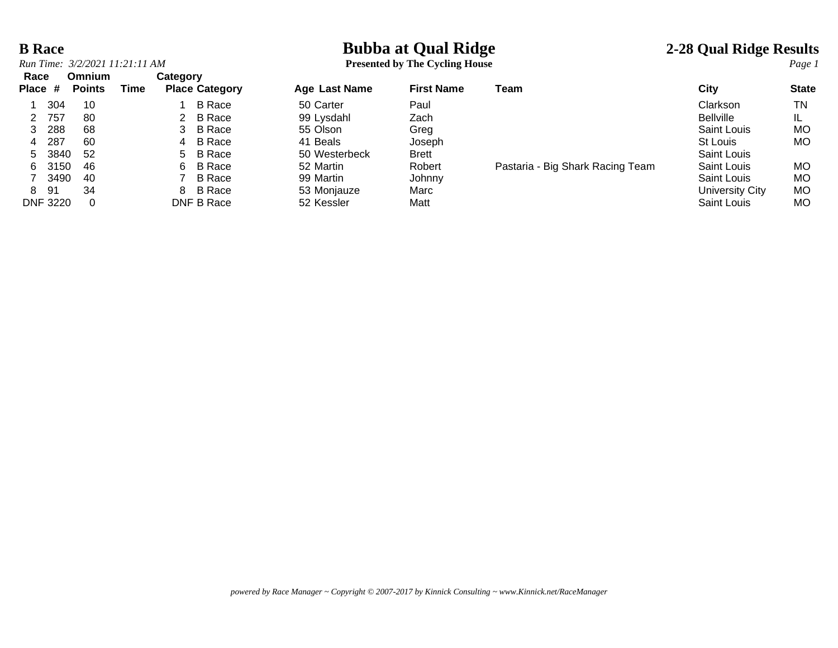## **B Race**<br> **Bubba at Qual Ridge** 2-28 Qual Ridge Results<br> **Bubba at Qual Ridge** 2-28 Qual Ridge Results<br> **Presented by The Cycling House**

|      |          | Run Time: 3/2/2021 11:21:11 AM |          |                       |
|------|----------|--------------------------------|----------|-----------------------|
| Race |          | Omnium                         | Category |                       |
|      |          | Place # Points Time            |          | <b>Place Category</b> |
| 1    | 304      | 10                             |          | B Race                |
| 2    | 757      | 80                             | 2        | <b>B</b> Race         |
| 3    | 288      | 68                             | 3        | <b>B</b> Race         |
| 4    | 287      | 60                             | 4        | <b>B</b> Race         |
| 5    | 3840     | 52                             | 5        | <b>B</b> Race         |
| 6    | 3150     | 46                             | 6        | <b>B</b> Race         |
| 7    | 3490     | 40                             |          | <b>B</b> Race         |
| 8    | 91       | 34                             | 8        | B Race                |
|      | DNF 3220 |                                |          | DNF B Race            |

**Presented by The Cycling House** 

| Race    |                 | <b>Omnium</b> |      | Category |                       |               |                   |                                  |                        |              |
|---------|-----------------|---------------|------|----------|-----------------------|---------------|-------------------|----------------------------------|------------------------|--------------|
| Place # |                 | <b>Points</b> | Time |          | <b>Place Category</b> | Age Last Name | <b>First Name</b> | Team                             | City                   | <b>State</b> |
|         | 304             | 10            |      |          | <b>B</b> Race         | 50 Carter     | Paul              |                                  | Clarkson               | ΤN           |
| 2       | 757             | 80            |      |          | 2 B Race              | 99 Lysdahl    | Zach              |                                  | <b>Bellville</b>       |              |
| 3       | 288             | 68            |      |          | 3 B Race              | 55 Olson      | Greg              |                                  | Saint Louis            | <b>MO</b>    |
| 4       | 287             | 60            |      |          | 4 B Race              | 41 Beals      | Joseph            |                                  | St Louis               | <b>MO</b>    |
| 5.      | 3840            | -52           |      |          | 5 B Race              | 50 Westerbeck | <b>Brett</b>      |                                  | Saint Louis            |              |
| 6.      | 3150            | -46           |      |          | 6 B Race              | 52 Martin     | Robert            | Pastaria - Big Shark Racing Team | Saint Louis            | <b>MO</b>    |
|         | 3490            | -40           |      |          | B Race                | 99 Martin     | Johnny            |                                  | Saint Louis            | <b>MO</b>    |
| 8       | -91             | 34            |      |          | 8 B Race              | 53 Monjauze   | Marc              |                                  | <b>University City</b> | <b>MO</b>    |
|         | <b>DNF 3220</b> | $\Omega$      |      |          | DNF B Race            | 52 Kessler    | Matt              |                                  | Saint Louis            | МO           |